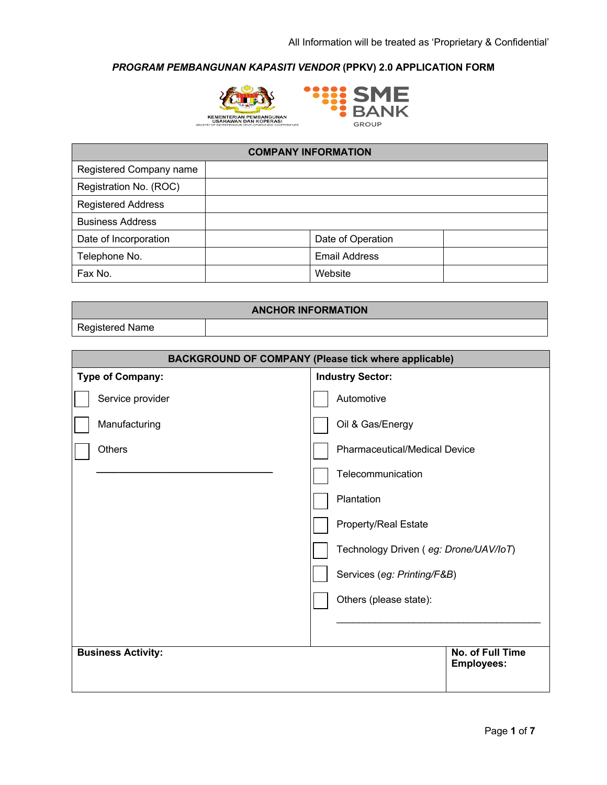



| <b>COMPANY INFORMATION</b> |                      |  |  |  |
|----------------------------|----------------------|--|--|--|
| Registered Company name    |                      |  |  |  |
| Registration No. (ROC)     |                      |  |  |  |
| <b>Registered Address</b>  |                      |  |  |  |
| <b>Business Address</b>    |                      |  |  |  |
| Date of Incorporation      | Date of Operation    |  |  |  |
| Telephone No.              | <b>Email Address</b> |  |  |  |
| Fax No.                    | Website              |  |  |  |

| <b>ANCHOR INFORMATION</b> |  |  |  |  |
|---------------------------|--|--|--|--|
| <b>Registered Name</b>    |  |  |  |  |

| <b>BACKGROUND OF COMPANY (Please tick where applicable)</b> |                                       |  |  |
|-------------------------------------------------------------|---------------------------------------|--|--|
| <b>Type of Company:</b>                                     | <b>Industry Sector:</b>               |  |  |
| Service provider                                            | Automotive                            |  |  |
| Manufacturing                                               | Oil & Gas/Energy                      |  |  |
| <b>Others</b>                                               | <b>Pharmaceutical/Medical Device</b>  |  |  |
|                                                             | Telecommunication                     |  |  |
|                                                             | Plantation                            |  |  |
|                                                             | Property/Real Estate                  |  |  |
|                                                             | Technology Driven (eg: Drone/UAV/IoT) |  |  |
|                                                             | Services (eg: Printing/F&B)           |  |  |
|                                                             | Others (please state):                |  |  |
|                                                             |                                       |  |  |
| <b>Business Activity:</b>                                   | No. of Full Time<br><b>Employees:</b> |  |  |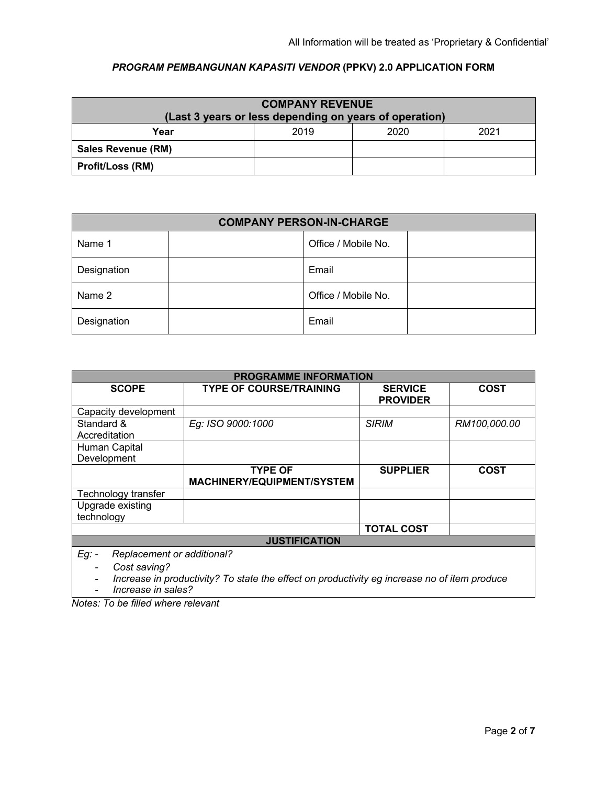| <b>COMPANY REVENUE</b><br>(Last 3 years or less depending on years of operation) |      |      |      |  |  |
|----------------------------------------------------------------------------------|------|------|------|--|--|
| Year                                                                             | 2019 | 2020 | 2021 |  |  |
| <b>Sales Revenue (RM)</b>                                                        |      |      |      |  |  |
| <b>Profit/Loss (RM)</b>                                                          |      |      |      |  |  |

| <b>COMPANY PERSON-IN-CHARGE</b> |  |                     |  |
|---------------------------------|--|---------------------|--|
| Name 1                          |  | Office / Mobile No. |  |
| Designation                     |  | Email               |  |
| Name 2                          |  | Office / Mobile No. |  |
| Designation                     |  | Email               |  |

| <b>PROGRAMME INFORMATION</b>                                                                                 |                                   |                                   |              |  |  |
|--------------------------------------------------------------------------------------------------------------|-----------------------------------|-----------------------------------|--------------|--|--|
| <b>SCOPE</b>                                                                                                 | <b>TYPE OF COURSE/TRAINING</b>    | <b>SERVICE</b><br><b>PROVIDER</b> | <b>COST</b>  |  |  |
| Capacity development                                                                                         |                                   |                                   |              |  |  |
| Standard &                                                                                                   | Eg: ISO 9000:1000                 | <b>SIRIM</b>                      | RM100,000.00 |  |  |
| Accreditation                                                                                                |                                   |                                   |              |  |  |
| Human Capital                                                                                                |                                   |                                   |              |  |  |
| Development                                                                                                  |                                   |                                   |              |  |  |
|                                                                                                              | <b>TYPE OF</b>                    | <b>SUPPLIER</b>                   | <b>COST</b>  |  |  |
|                                                                                                              | <b>MACHINERY/EQUIPMENT/SYSTEM</b> |                                   |              |  |  |
| Technology transfer                                                                                          |                                   |                                   |              |  |  |
| Upgrade existing                                                                                             |                                   |                                   |              |  |  |
| technology                                                                                                   |                                   |                                   |              |  |  |
|                                                                                                              |                                   | <b>TOTAL COST</b>                 |              |  |  |
| <b>JUSTIFICATION</b>                                                                                         |                                   |                                   |              |  |  |
| $Eg$ : -                                                                                                     | Replacement or additional?        |                                   |              |  |  |
| Cost saving?<br>Increase in productivity? To state the effect on productivity eg increase no of item produce |                                   |                                   |              |  |  |

- *Increase in sales?*

*Notes: To be filled where relevant*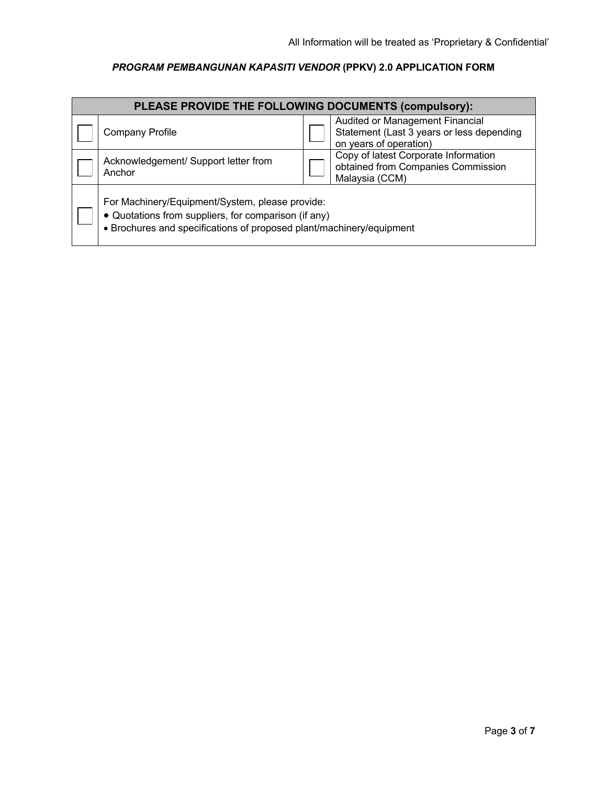| PLEASE PROVIDE THE FOLLOWING DOCUMENTS (compulsory):                                                                                                                            |  |                                                                                                        |  |  |
|---------------------------------------------------------------------------------------------------------------------------------------------------------------------------------|--|--------------------------------------------------------------------------------------------------------|--|--|
| <b>Company Profile</b>                                                                                                                                                          |  | Audited or Management Financial<br>Statement (Last 3 years or less depending<br>on years of operation) |  |  |
| Acknowledgement/ Support letter from<br>Anchor                                                                                                                                  |  | Copy of latest Corporate Information<br>obtained from Companies Commission<br>Malaysia (CCM)           |  |  |
| For Machinery/Equipment/System, please provide:<br>• Quotations from suppliers, for comparison (if any)<br>• Brochures and specifications of proposed plant/machinery/equipment |  |                                                                                                        |  |  |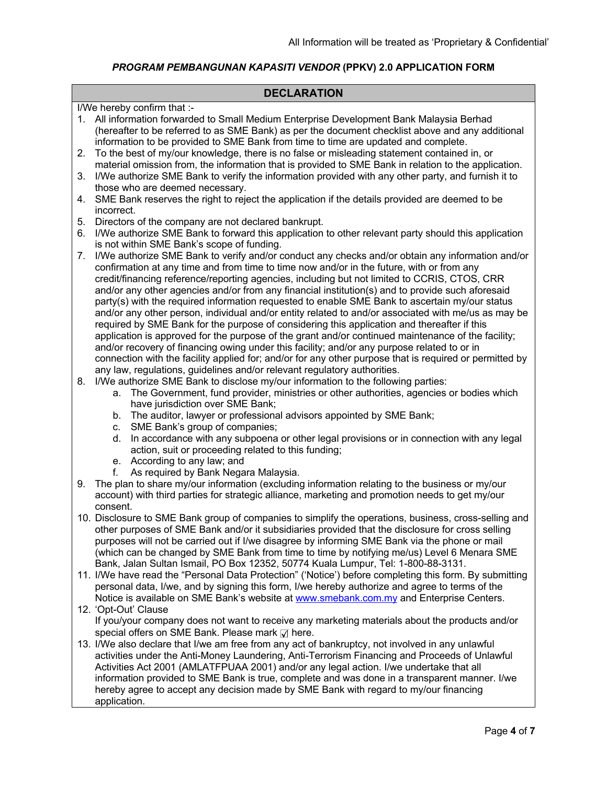## **DECLARATION**

I/We hereby confirm that :-

|          | I/We hereby confirm that :-                                                                                                                                                                                                                                                                                                                                                                               |
|----------|-----------------------------------------------------------------------------------------------------------------------------------------------------------------------------------------------------------------------------------------------------------------------------------------------------------------------------------------------------------------------------------------------------------|
|          | 1. All information forwarded to Small Medium Enterprise Development Bank Malaysia Berhad<br>(hereafter to be referred to as SME Bank) as per the document checklist above and any additional<br>information to be provided to SME Bank from time to time are updated and complete.<br>To the best of my/our knowledge, there is no false or misleading statement contained in, or                         |
| 2.<br>3. | material omission from, the information that is provided to SME Bank in relation to the application.<br>I/We authorize SME Bank to verify the information provided with any other party, and furnish it to                                                                                                                                                                                                |
| 4.       | those who are deemed necessary.<br>SME Bank reserves the right to reject the application if the details provided are deemed to be                                                                                                                                                                                                                                                                         |
|          | incorrect.                                                                                                                                                                                                                                                                                                                                                                                                |
| 5.<br>6. | Directors of the company are not declared bankrupt.<br>I/We authorize SME Bank to forward this application to other relevant party should this application<br>is not within SME Bank's scope of funding.                                                                                                                                                                                                  |
| 7.       | I/We authorize SME Bank to verify and/or conduct any checks and/or obtain any information and/or<br>confirmation at any time and from time to time now and/or in the future, with or from any                                                                                                                                                                                                             |
|          | credit/financing reference/reporting agencies, including but not limited to CCRIS, CTOS, CRR<br>and/or any other agencies and/or from any financial institution(s) and to provide such aforesaid<br>party(s) with the required information requested to enable SME Bank to ascertain my/our status<br>and/or any other person, individual and/or entity related to and/or associated with me/us as may be |
|          | required by SME Bank for the purpose of considering this application and thereafter if this<br>application is approved for the purpose of the grant and/or continued maintenance of the facility;                                                                                                                                                                                                         |
|          | and/or recovery of financing owing under this facility; and/or any purpose related to or in                                                                                                                                                                                                                                                                                                               |
|          | connection with the facility applied for; and/or for any other purpose that is required or permitted by<br>any law, regulations, guidelines and/or relevant regulatory authorities.                                                                                                                                                                                                                       |
| 8.       | I/We authorize SME Bank to disclose my/our information to the following parties:                                                                                                                                                                                                                                                                                                                          |
|          | The Government, fund provider, ministries or other authorities, agencies or bodies which<br>a.                                                                                                                                                                                                                                                                                                            |
|          | have jurisdiction over SME Bank;<br>The auditor, lawyer or professional advisors appointed by SME Bank;<br>b.                                                                                                                                                                                                                                                                                             |
|          | SME Bank's group of companies;<br>C.                                                                                                                                                                                                                                                                                                                                                                      |
|          | In accordance with any subpoena or other legal provisions or in connection with any legal<br>d.<br>action, suit or proceeding related to this funding;                                                                                                                                                                                                                                                    |
|          | e. According to any law; and<br>As required by Bank Negara Malaysia.<br>f.                                                                                                                                                                                                                                                                                                                                |
| 9.       | The plan to share my/our information (excluding information relating to the business or my/our                                                                                                                                                                                                                                                                                                            |
|          | account) with third parties for strategic alliance, marketing and promotion needs to get my/our<br>consent.                                                                                                                                                                                                                                                                                               |
|          | 10. Disclosure to SME Bank group of companies to simplify the operations, business, cross-selling and                                                                                                                                                                                                                                                                                                     |
|          | other purposes of SME Bank and/or it subsidiaries provided that the disclosure for cross selling<br>purposes will not be carried out if I/we disagree by informing SME Bank via the phone or mail                                                                                                                                                                                                         |
|          | (which can be changed by SME Bank from time to time by notifying me/us) Level 6 Menara SME                                                                                                                                                                                                                                                                                                                |
|          | Bank, Jalan Sultan Ismail, PO Box 12352, 50774 Kuala Lumpur, Tel: 1-800-88-3131.                                                                                                                                                                                                                                                                                                                          |
|          | 11. I/We have read the "Personal Data Protection" ('Notice') before completing this form. By submitting                                                                                                                                                                                                                                                                                                   |
|          | personal data, I/we, and by signing this form, I/we hereby authorize and agree to terms of the                                                                                                                                                                                                                                                                                                            |
|          | Notice is available on SME Bank's website at <b>www.smebank.com.my</b> and Enterprise Centers.<br>12. 'Opt-Out' Clause                                                                                                                                                                                                                                                                                    |
|          | If you/your company does not want to receive any marketing materials about the products and/or                                                                                                                                                                                                                                                                                                            |
|          | special offers on SME Bank. Please mark Ø here.                                                                                                                                                                                                                                                                                                                                                           |
|          | 13. I/We also declare that I/we am free from any act of bankruptcy, not involved in any unlawful                                                                                                                                                                                                                                                                                                          |
|          | activities under the Anti-Money Laundering, Anti-Terrorism Financing and Proceeds of Unlawful<br>Activities Act 2001 (AMLATFPUAA 2001) and/or any legal action. I/we undertake that all                                                                                                                                                                                                                   |

information provided to SME Bank is true, complete and was done in a transparent manner. I/we hereby agree to accept any decision made by SME Bank with regard to my/our financing application.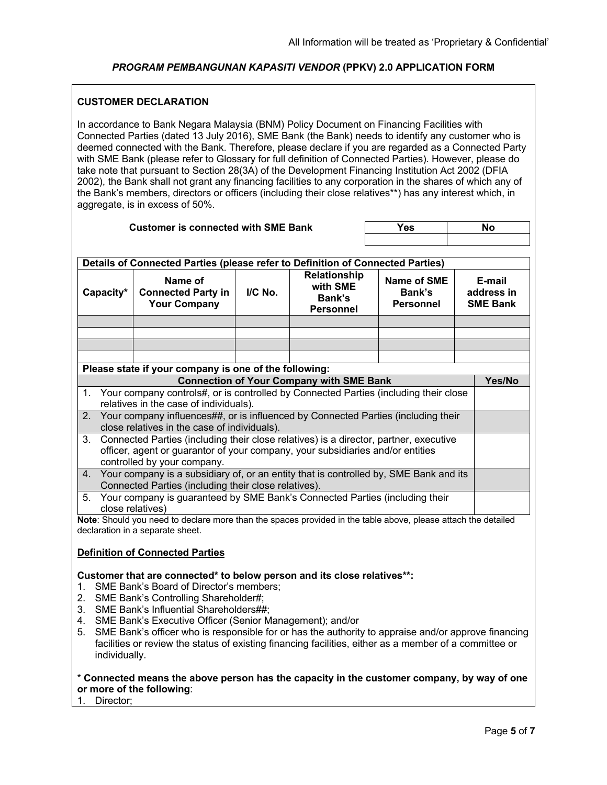#### **CUSTOMER DECLARATION**

In accordance to Bank Negara Malaysia (BNM) Policy Document on Financing Facilities with Connected Parties (dated 13 July 2016), SME Bank (the Bank) needs to identify any customer who is deemed connected with the Bank. Therefore, please declare if you are regarded as a Connected Party with SME Bank (please refer to Glossary for full definition of Connected Parties). However, please do take note that pursuant to Section 28(3A) of the Development Financing Institution Act 2002 (DFIA 2002), the Bank shall not grant any financing facilities to any corporation in the shares of which any of the Bank's members, directors or officers (including their close relatives\*\*) has any interest which, in aggregate, is in excess of 50%.

| <b>Customer is connected with SME Bank</b>                                                                                                                              |                                                                                                                                                                                                         |         | <b>Yes</b>                                                    | <b>No</b>                                        |                                         |  |  |
|-------------------------------------------------------------------------------------------------------------------------------------------------------------------------|---------------------------------------------------------------------------------------------------------------------------------------------------------------------------------------------------------|---------|---------------------------------------------------------------|--------------------------------------------------|-----------------------------------------|--|--|
|                                                                                                                                                                         |                                                                                                                                                                                                         |         |                                                               |                                                  |                                         |  |  |
| Details of Connected Parties (please refer to Definition of Connected Parties)                                                                                          |                                                                                                                                                                                                         |         |                                                               |                                                  |                                         |  |  |
| Capacity*                                                                                                                                                               | Name of<br><b>Connected Party in</b><br><b>Your Company</b>                                                                                                                                             | I/C No. | <b>Relationship</b><br>with SME<br>Bank's<br><b>Personnel</b> | <b>Name of SME</b><br>Bank's<br><b>Personnel</b> | E-mail<br>address in<br><b>SME Bank</b> |  |  |
|                                                                                                                                                                         |                                                                                                                                                                                                         |         |                                                               |                                                  |                                         |  |  |
|                                                                                                                                                                         |                                                                                                                                                                                                         |         |                                                               |                                                  |                                         |  |  |
|                                                                                                                                                                         |                                                                                                                                                                                                         |         |                                                               |                                                  |                                         |  |  |
|                                                                                                                                                                         | Please state if your company is one of the following:                                                                                                                                                   |         |                                                               |                                                  |                                         |  |  |
|                                                                                                                                                                         |                                                                                                                                                                                                         |         | <b>Connection of Your Company with SME Bank</b>               |                                                  | Yes/No                                  |  |  |
| 1.                                                                                                                                                                      | Your company controls#, or is controlled by Connected Parties (including their close                                                                                                                    |         |                                                               |                                                  |                                         |  |  |
|                                                                                                                                                                         | relatives in the case of individuals).                                                                                                                                                                  |         |                                                               |                                                  |                                         |  |  |
|                                                                                                                                                                         | Your company influences##, or is influenced by Connected Parties (including their<br>2.                                                                                                                 |         |                                                               |                                                  |                                         |  |  |
| 3.                                                                                                                                                                      | close relatives in the case of individuals).                                                                                                                                                            |         |                                                               |                                                  |                                         |  |  |
| Connected Parties (including their close relatives) is a director, partner, executive<br>officer, agent or guarantor of your company, your subsidiaries and/or entities |                                                                                                                                                                                                         |         |                                                               |                                                  |                                         |  |  |
|                                                                                                                                                                         | controlled by your company.                                                                                                                                                                             |         |                                                               |                                                  |                                         |  |  |
| Your company is a subsidiary of, or an entity that is controlled by, SME Bank and its<br>4.                                                                             |                                                                                                                                                                                                         |         |                                                               |                                                  |                                         |  |  |
| Connected Parties (including their close relatives).                                                                                                                    |                                                                                                                                                                                                         |         |                                                               |                                                  |                                         |  |  |
| Your company is guaranteed by SME Bank's Connected Parties (including their<br>5.                                                                                       |                                                                                                                                                                                                         |         |                                                               |                                                  |                                         |  |  |
| close relatives)<br>Note: Should you need to declare more than the spaces provided in the table above, please attach the detailed                                       |                                                                                                                                                                                                         |         |                                                               |                                                  |                                         |  |  |
|                                                                                                                                                                         | declaration in a separate sheet.                                                                                                                                                                        |         |                                                               |                                                  |                                         |  |  |
|                                                                                                                                                                         |                                                                                                                                                                                                         |         |                                                               |                                                  |                                         |  |  |
|                                                                                                                                                                         | <b>Definition of Connected Parties</b>                                                                                                                                                                  |         |                                                               |                                                  |                                         |  |  |
| 1.<br>2.                                                                                                                                                                | Customer that are connected* to below person and its close relatives**:<br>SME Bank's Board of Director's members;<br>SME Bank's Controlling Shareholder#;<br>3. SME Bank's Influential Shareholders##; |         |                                                               |                                                  |                                         |  |  |
|                                                                                                                                                                         | 4. SME Bank's Executive Officer (Senior Management); and/or                                                                                                                                             |         |                                                               |                                                  |                                         |  |  |

5. SME Bank's officer who is responsible for or has the authority to appraise and/or approve financing facilities or review the status of existing financing facilities, either as a member of a committee or individually.

## \* **Connected means the above person has the capacity in the customer company, by way of one or more of the following**:

1. Director;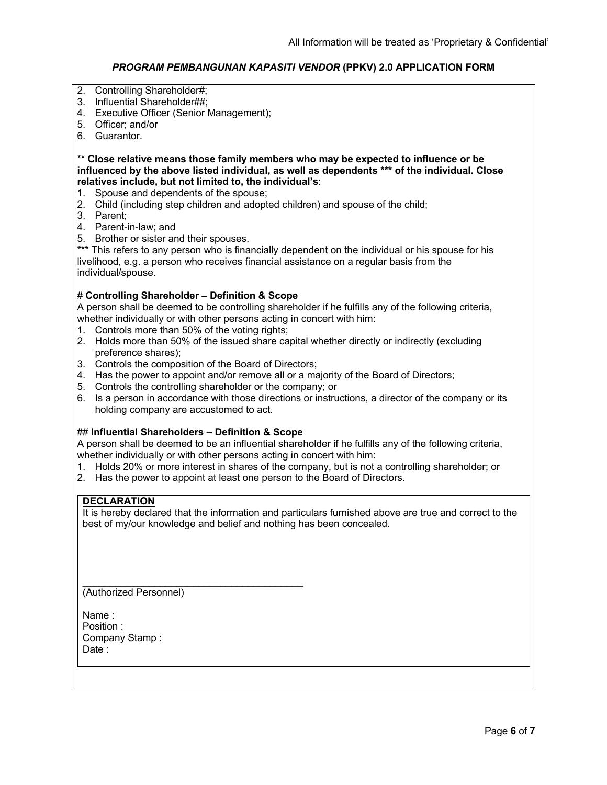- 2. Controlling Shareholder#;
- 3. Influential Shareholder##;
- 4. Executive Officer (Senior Management);
- 5. Officer; and/or
- 6. Guarantor.

## \*\* **Close relative means those family members who may be expected to influence or be influenced by the above listed individual, as well as dependents \*\*\* of the individual. Close relatives include, but not limited to, the individual's**:

- 1. Spouse and dependents of the spouse;
- 2. Child (including step children and adopted children) and spouse of the child;
- 3. Parent;
- 4. Parent-in-law; and
- 5. Brother or sister and their spouses.

\*\*\* This refers to any person who is financially dependent on the individual or his spouse for his livelihood, e.g. a person who receives financial assistance on a regular basis from the individual/spouse.

#### # **Controlling Shareholder – Definition & Scope**

A person shall be deemed to be controlling shareholder if he fulfills any of the following criteria, whether individually or with other persons acting in concert with him:

- 1. Controls more than 50% of the voting rights;
- 2. Holds more than 50% of the issued share capital whether directly or indirectly (excluding preference shares);
- 3. Controls the composition of the Board of Directors;
- 4. Has the power to appoint and/or remove all or a majority of the Board of Directors;
- 5. Controls the controlling shareholder or the company; or
- 6. Is a person in accordance with those directions or instructions, a director of the company or its holding company are accustomed to act.

#### ## **Influential Shareholders – Definition & Scope**

 $\mathcal{L}_\mathcal{L}$  , where  $\mathcal{L}_\mathcal{L}$  is the set of the set of the set of the set of the set of the set of the set of the set of the set of the set of the set of the set of the set of the set of the set of the set of the

A person shall be deemed to be an influential shareholder if he fulfills any of the following criteria, whether individually or with other persons acting in concert with him:

- 1. Holds 20% or more interest in shares of the company, but is not a controlling shareholder; or
- 2. Has the power to appoint at least one person to the Board of Directors.

## **DECLARATION**

It is hereby declared that the information and particulars furnished above are true and correct to the best of my/our knowledge and belief and nothing has been concealed.

(Authorized Personnel)

Name : Position : Company Stamp : Date: